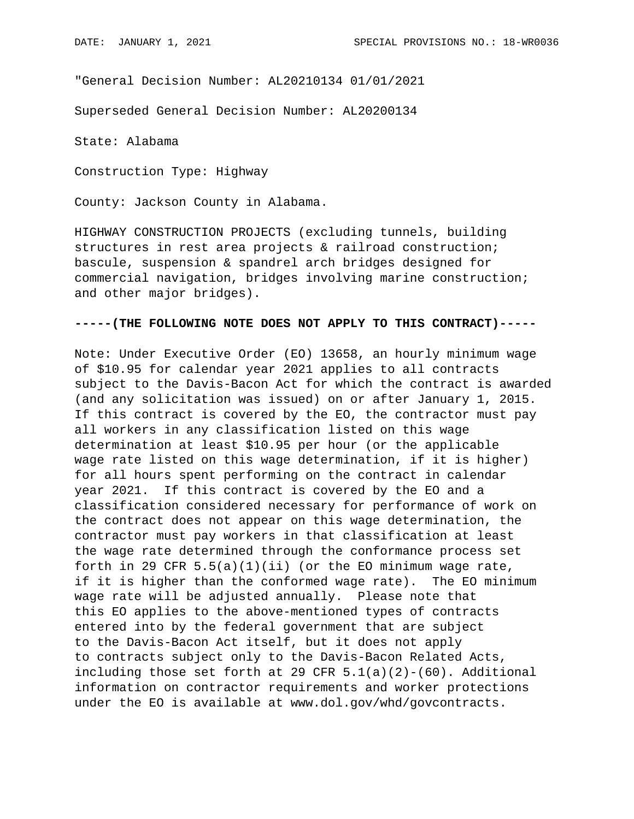"General Decision Number: AL20210134 01/01/2021

Superseded General Decision Number: AL20200134

State: Alabama

Construction Type: Highway

County: Jackson County in Alabama.

HIGHWAY CONSTRUCTION PROJECTS (excluding tunnels, building structures in rest area projects & railroad construction; bascule, suspension & spandrel arch bridges designed for commercial navigation, bridges involving marine construction; and other major bridges).

## **-----(THE FOLLOWING NOTE DOES NOT APPLY TO THIS CONTRACT)-----**

Note: Under Executive Order (EO) 13658, an hourly minimum wage of \$10.95 for calendar year 2021 applies to all contracts subject to the Davis-Bacon Act for which the contract is awarded (and any solicitation was issued) on or after January 1, 2015. If this contract is covered by the EO, the contractor must pay all workers in any classification listed on this wage determination at least \$10.95 per hour (or the applicable wage rate listed on this wage determination, if it is higher) for all hours spent performing on the contract in calendar year 2021. If this contract is covered by the EO and a classification considered necessary for performance of work on the contract does not appear on this wage determination, the contractor must pay workers in that classification at least the wage rate determined through the conformance process set forth in 29 CFR  $5.5(a)(1)(ii)$  (or the EO minimum wage rate, if it is higher than the conformed wage rate). The EO minimum wage rate will be adjusted annually. Please note that this EO applies to the above-mentioned types of contracts entered into by the federal government that are subject to the Davis-Bacon Act itself, but it does not apply to contracts subject only to the Davis-Bacon Related Acts, including those set forth at 29 CFR  $5.1(a)(2)-(60)$ . Additional information on contractor requirements and worker protections under the EO is available at www.dol.gov/whd/govcontracts.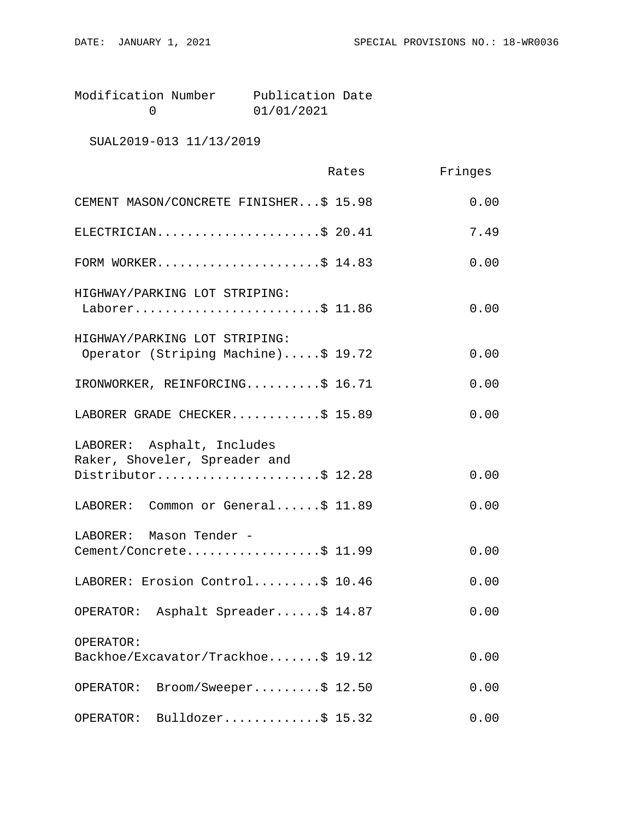| Modification Number | Publication Date |  |
|---------------------|------------------|--|
|                     | 01/01/2021       |  |

# SUAL2019-013 11/13/2019

|                                                                                    | Rates | Fringes |
|------------------------------------------------------------------------------------|-------|---------|
| CEMENT MASON/CONCRETE FINISHER\$ 15.98                                             |       | 0.00    |
| ELECTRICIAN\$ 20.41                                                                |       | 7.49    |
| FORM WORKER\$ 14.83                                                                |       | 0.00    |
| HIGHWAY/PARKING LOT STRIPING:<br>Laborer\$ 11.86                                   |       | 0.00    |
| HIGHWAY/PARKING LOT STRIPING:<br>Operator (Striping Machine)\$ 19.72               |       | 0.00    |
| IRONWORKER, REINFORCING\$ 16.71                                                    |       | 0.00    |
| LABORER GRADE CHECKER\$ 15.89                                                      |       | 0.00    |
| LABORER: Asphalt, Includes<br>Raker, Shoveler, Spreader and<br>Distributor\$ 12.28 |       | 0.00    |
| LABORER: Common or General\$ 11.89                                                 |       | 0.00    |
| LABORER: Mason Tender -<br>Cement/Concrete\$ 11.99                                 |       | 0.00    |
| LABORER: Erosion Control\$ 10.46                                                   |       | 0.00    |
| OPERATOR: Asphalt Spreader\$ 14.87                                                 |       | 0.00    |
| OPERATOR:<br>Backhoe/Excavator/Trackhoe\$ 19.12                                    |       | 0.00    |
| $\texttt{Broom}/\texttt{Sweeper} \dots \dots \$ 12.50<br>OPERATOR:                 |       | 0.00    |
| Bulldozer\$ $15.32$<br>OPERATOR:                                                   |       | 0.00    |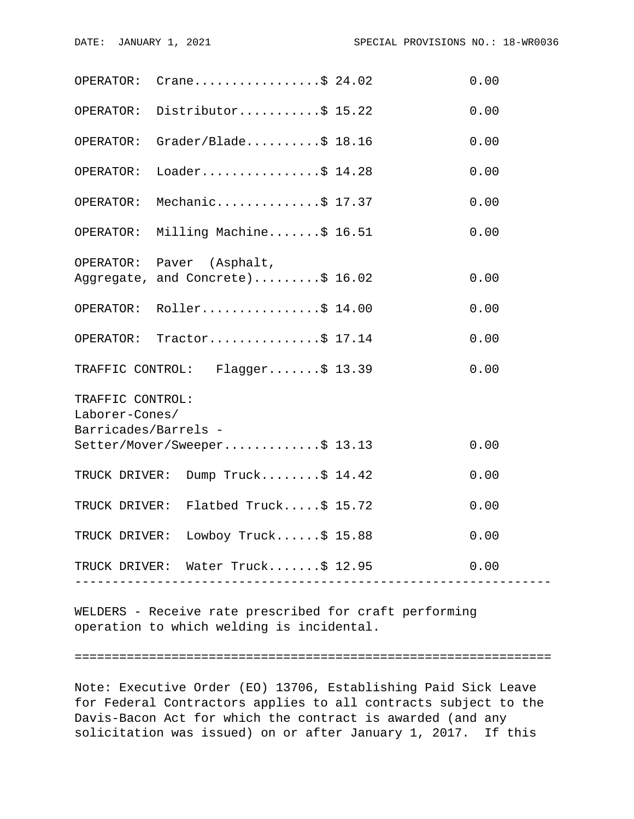|                                        | OPERATOR: $Crane \ldots  \ldots$ \$ 24.02                                 |                          | 0.00 |  |  |
|----------------------------------------|---------------------------------------------------------------------------|--------------------------|------|--|--|
|                                        | OPERATOR: Distributor\$ 15.22                                             |                          | 0.00 |  |  |
|                                        | OPERATOR: Grader/Blade\$ 18.16                                            |                          | 0.00 |  |  |
| OPERATOR:                              | Loader\$ $14.28$                                                          |                          | 0.00 |  |  |
| OPERATOR:                              | Mechanic\$ 17.37                                                          |                          | 0.00 |  |  |
|                                        | OPERATOR: Milling Machine\$ 16.51                                         |                          | 0.00 |  |  |
|                                        | OPERATOR: Paver (Asphalt,                                                 |                          |      |  |  |
|                                        | Aggregate, and Concrete)\$ 16.02                                          |                          | 0.00 |  |  |
|                                        | OPERATOR: Roller\$ 14.00                                                  |                          | 0.00 |  |  |
|                                        | OPERATOR: Tractor\$ 17.14                                                 |                          | 0.00 |  |  |
|                                        | TRAFFIC CONTROL: Flagger\$ 13.39                                          |                          | 0.00 |  |  |
| TRAFFIC CONTROL:                       |                                                                           |                          |      |  |  |
| Laborer-Cones/<br>Barricades/Barrels - |                                                                           |                          |      |  |  |
|                                        | Setter/Mover/Sweeper\$ 13.13                                              |                          | 0.00 |  |  |
|                                        | TRUCK DRIVER: Dump Truck\$ 14.42                                          |                          | 0.00 |  |  |
|                                        | TRUCK DRIVER: Flatbed Truck\$ 15.72                                       |                          | 0.00 |  |  |
|                                        | TRUCK DRIVER: Lowboy Truck\$ 15.88                                        |                          | 0.00 |  |  |
|                                        | TRUCK DRIVER: Water Truck\$ 12.95<br>------------------------------------ | ------------------------ | 0.00 |  |  |
|                                        |                                                                           |                          |      |  |  |

WELDERS - Receive rate prescribed for craft performing operation to which welding is incidental.

#### ================================================================

Note: Executive Order (EO) 13706, Establishing Paid Sick Leave for Federal Contractors applies to all contracts subject to the Davis-Bacon Act for which the contract is awarded (and any solicitation was issued) on or after January 1, 2017. If this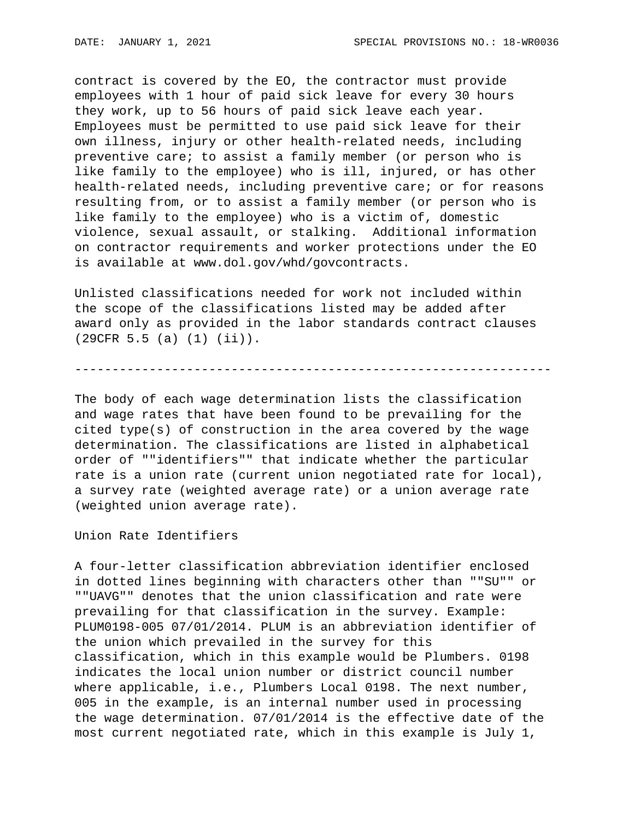contract is covered by the EO, the contractor must provide employees with 1 hour of paid sick leave for every 30 hours they work, up to 56 hours of paid sick leave each year. Employees must be permitted to use paid sick leave for their own illness, injury or other health-related needs, including preventive care; to assist a family member (or person who is like family to the employee) who is ill, injured, or has other health-related needs, including preventive care; or for reasons resulting from, or to assist a family member (or person who is like family to the employee) who is a victim of, domestic violence, sexual assault, or stalking. Additional information on contractor requirements and worker protections under the EO is available at www.dol.gov/whd/govcontracts.

Unlisted classifications needed for work not included within the scope of the classifications listed may be added after award only as provided in the labor standards contract clauses (29CFR 5.5 (a) (1) (ii)).

----------------------------------------------------------------

The body of each wage determination lists the classification and wage rates that have been found to be prevailing for the cited type(s) of construction in the area covered by the wage determination. The classifications are listed in alphabetical order of ""identifiers"" that indicate whether the particular rate is a union rate (current union negotiated rate for local), a survey rate (weighted average rate) or a union average rate (weighted union average rate).

Union Rate Identifiers

A four-letter classification abbreviation identifier enclosed in dotted lines beginning with characters other than ""SU"" or ""UAVG"" denotes that the union classification and rate were prevailing for that classification in the survey. Example: PLUM0198-005 07/01/2014. PLUM is an abbreviation identifier of the union which prevailed in the survey for this classification, which in this example would be Plumbers. 0198 indicates the local union number or district council number where applicable, i.e., Plumbers Local 0198. The next number, 005 in the example, is an internal number used in processing the wage determination. 07/01/2014 is the effective date of the most current negotiated rate, which in this example is July 1,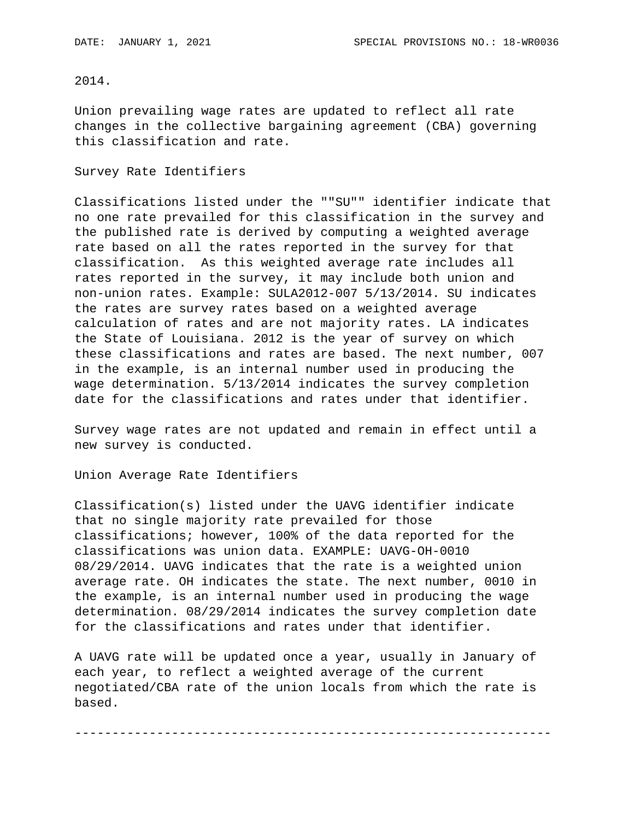# 2014.

Union prevailing wage rates are updated to reflect all rate changes in the collective bargaining agreement (CBA) governing this classification and rate.

### Survey Rate Identifiers

Classifications listed under the ""SU"" identifier indicate that no one rate prevailed for this classification in the survey and the published rate is derived by computing a weighted average rate based on all the rates reported in the survey for that classification. As this weighted average rate includes all rates reported in the survey, it may include both union and non-union rates. Example: SULA2012-007 5/13/2014. SU indicates the rates are survey rates based on a weighted average calculation of rates and are not majority rates. LA indicates the State of Louisiana. 2012 is the year of survey on which these classifications and rates are based. The next number, 007 in the example, is an internal number used in producing the wage determination. 5/13/2014 indicates the survey completion date for the classifications and rates under that identifier.

Survey wage rates are not updated and remain in effect until a new survey is conducted.

Union Average Rate Identifiers

Classification(s) listed under the UAVG identifier indicate that no single majority rate prevailed for those classifications; however, 100% of the data reported for the classifications was union data. EXAMPLE: UAVG-OH-0010 08/29/2014. UAVG indicates that the rate is a weighted union average rate. OH indicates the state. The next number, 0010 in the example, is an internal number used in producing the wage determination. 08/29/2014 indicates the survey completion date for the classifications and rates under that identifier.

A UAVG rate will be updated once a year, usually in January of each year, to reflect a weighted average of the current negotiated/CBA rate of the union locals from which the rate is based.

----------------------------------------------------------------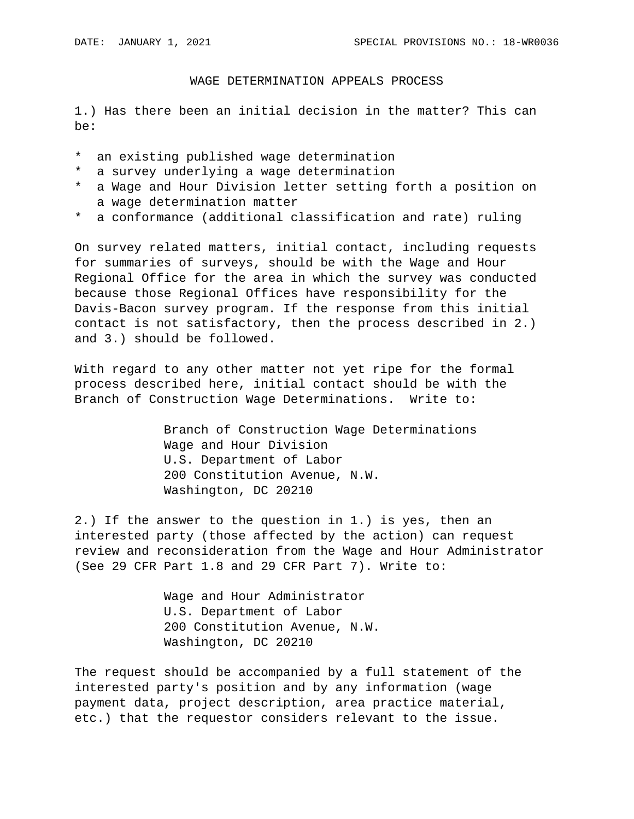#### WAGE DETERMINATION APPEALS PROCESS

1.) Has there been an initial decision in the matter? This can be:

- \* an existing published wage determination
- \* a survey underlying a wage determination
- \* a Wage and Hour Division letter setting forth a position on a wage determination matter
- \* a conformance (additional classification and rate) ruling

On survey related matters, initial contact, including requests for summaries of surveys, should be with the Wage and Hour Regional Office for the area in which the survey was conducted because those Regional Offices have responsibility for the Davis-Bacon survey program. If the response from this initial contact is not satisfactory, then the process described in 2.) and 3.) should be followed.

With regard to any other matter not yet ripe for the formal process described here, initial contact should be with the Branch of Construction Wage Determinations. Write to:

> Branch of Construction Wage Determinations Wage and Hour Division U.S. Department of Labor 200 Constitution Avenue, N.W. Washington, DC 20210

2.) If the answer to the question in 1.) is yes, then an interested party (those affected by the action) can request review and reconsideration from the Wage and Hour Administrator (See 29 CFR Part 1.8 and 29 CFR Part 7). Write to:

> Wage and Hour Administrator U.S. Department of Labor 200 Constitution Avenue, N.W. Washington, DC 20210

The request should be accompanied by a full statement of the interested party's position and by any information (wage payment data, project description, area practice material, etc.) that the requestor considers relevant to the issue.